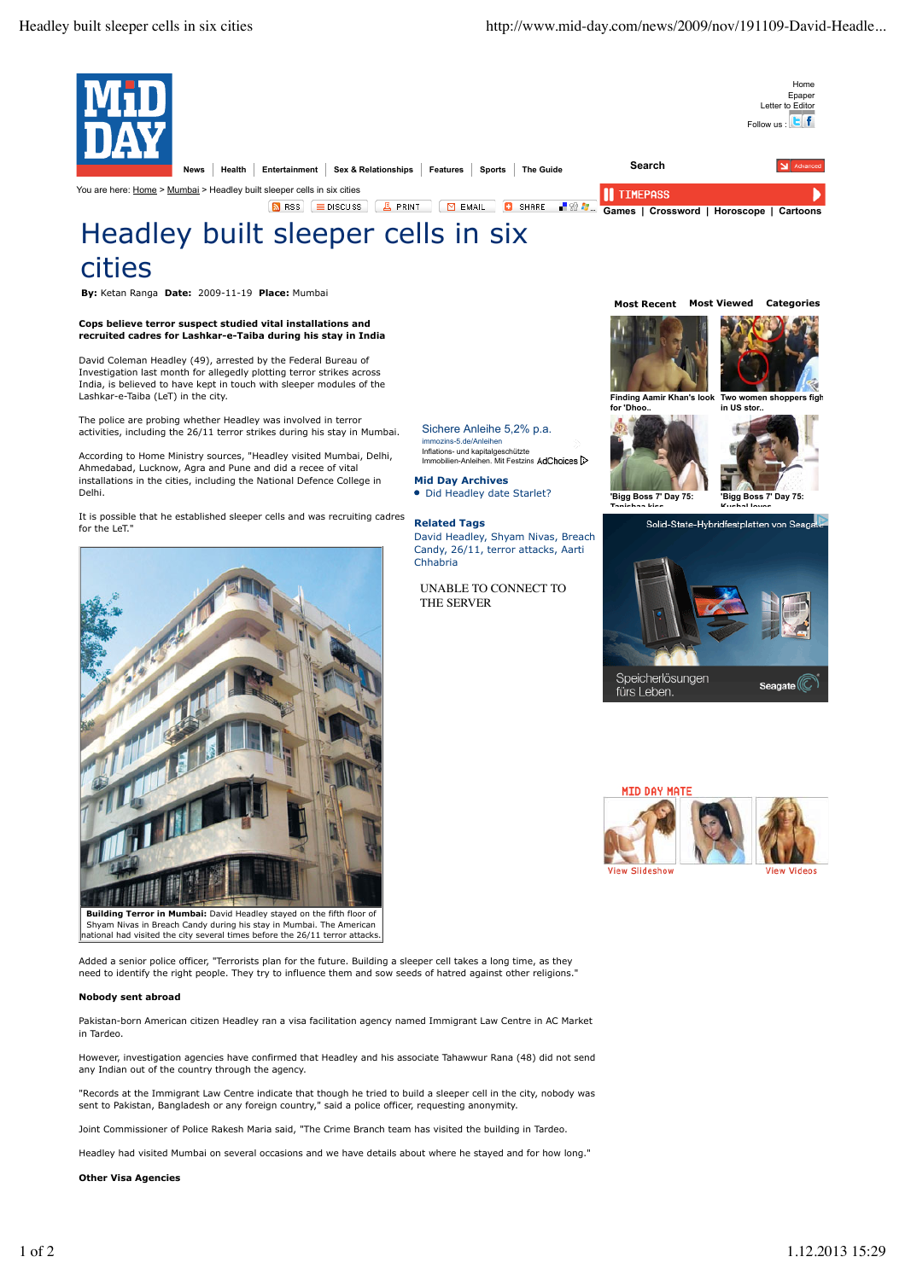

Added a senior police officer, "Terrorists plan for the future. Building a sleeper cell takes a long time, as they need to identify the right people. They try to influence them and sow seeds of hatred against other religions."

national had visited the city several times before the 26/11 terror attacks.

# **Nobody sent abroad**

Pakistan-born American citizen Headley ran a visa facilitation agency named Immigrant Law Centre in AC Market in Tardeo.

However, investigation agencies have confirmed that Headley and his associate Tahawwur Rana (48) did not send any Indian out of the country through the agency.

"Records at the Immigrant Law Centre indicate that though he tried to build a sleeper cell in the city, nobody was sent to Pakistan, Bangladesh or any foreign country," said a police officer, requesting anonymity.

Joint Commissioner of Police Rakesh Maria said, "The Crime Branch team has visited the building in Tardeo.

Headley had visited Mumbai on several occasions and we have details about where he stayed and for how long."

**Other Visa Agencies**